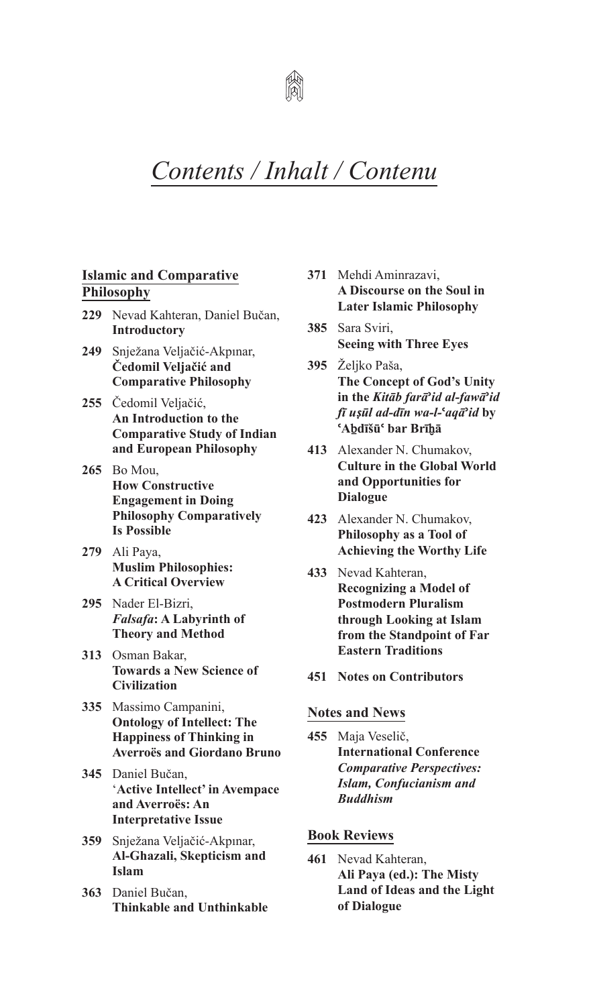

## *Contents / Inhalt / Contenu*

## **Islamic and Comparative Philosophy**

- **229** Nevad Kahteran, Daniel Bučan, **Introductory**
- **249** Snježana Veljačić-Akpınar, **Čedomil Veljačić and Comparative Philosophy**
- **255** Čedomil Veljačić, **An Introduction to the Comparative Study of Indian and European Philosophy**
- **265** Bo Mou, **How Constructive Engagement in Doing Philosophy Comparatively Is Possible**
- **279** Ali Paya, **Muslim Philosophies: A Critical Overview**
- **295** Nader El-Bizri, *Falsafa***: A Labyrinth of Theory and Method**
- **313** Osman Bakar, **Towards a New Science of Civilization**
- **335** Massimo Campanini, **Ontology of Intellect: The Happiness of Thinking in Averroës and Giordano Bruno**
- **345** Daniel Bučan, '**Active Intellect' in Avempace and Averroës: An Interpretative Issue**
- **359** Snježana Veljačić-Akpınar, **Al-Ghazali, Skepticism and Islam**
- **363** Daniel Bučan, **Thinkable and Unthinkable**
- **371** Mehdi Aminrazavi, **A Discourse on the Soul in Later Islamic Philosophy**
- 385 Sara Sviri, **Seeing with Three Eyes**
- **395** Željko Paša, **The Concept of God's Unity in the** *Kitāb farā***ʾ***id al-fawā***ʾ***id fī uṣūl ad-dīn wa-l-***ʿ***aqā***ʾ***id* **by ʿAḇdīšūʿ bar Brīḫā**
- **413** Alexander N. Chumakov, **Culture in the Global World and Opportunities for Dialogue**
- **423** Alexander N. Chumakov, **Philosophy as a Tool of Achieving the Worthy Life**
- **433** Nevad Kahteran, **Recognizing a Model of Postmodern Pluralism through Looking at Islam from the Standpoint of Far Eastern Traditions**
- **451 Notes on contributors**

## **Notes and News**

**455** Maja Veselič, **International conference**  *Comparative Perspectives: Islam, Confucianism and Buddhism*

## **Book Reviews**

**461** Nevad Kahteran, **Ali Paya (ed.): The Misty Land of Ideas and the Light of Dialogue**